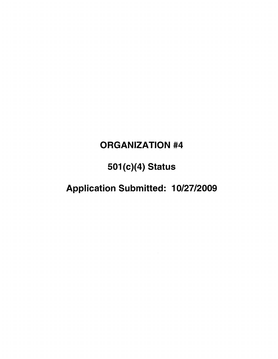### **ORGANIZATION #4**

# **501(c)(4) Status**

## Application Submitted: 10/27/2009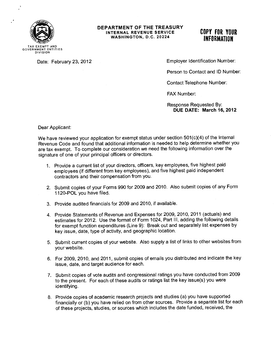

#### **DEPARTMENT OF THE TREASURY INTERNAL REVENUE SERVICE WASHINGTON, D.C. 20224**

### **COPY FOR YOUR INFORMATION**

TAX EXEMPT AND GOVERNMENT ENTITIES DIVISION

Date: February 23, 2012

Employer Identification Number:

Person to Contact and ID Number:

Contact Telephone Number:

FAX Number:

Response Requested By: **DUE DATE: March 16, 2012** 

Dear Applicant:

We have reviewed your application for exempt status under section 501(c)(4) of the Internal Revenue Code and found that additional information is needed to help determine whether you are tax exempt. To complete our consideration we need the following information over the signature of one of your principal officers or directors.

- 1. Provide a current list of your directors, officers, key employees, five highest paid employees (if different from key employees), and five highest paid independent contractors and their compensation from you.
- 2. Submit copies of your Forms 990 for 2009 and 2010. Also submit copies of any Form 1120-POL you have filed.
- 3. Provide audited financials for 2009 and 2010, if available.
- 4. Provide Statements of Revenue and Expenses for 2009, 2010, 2011 (actuals) and estimates for 2012. Use the format of Form 1024, Part III, adding the following details for exempt function expenditures (Line 9): Break out and separately list expenses by key issue, date, type of activity, and geographic location.
- 5. Submit current copies of your website. Also supply a list of links to other websites from your website.
- 6. For 2009, 2010, and 2011, submit copies of emails you distributed and indicate the key issue, date, and target audience for each.
- 7. Submit copies of vote audits and congressional ratings you have conducted from 2009 to the present. For each of these audits or ratings list the key issue(s) you were identifying.
- 8. Provide copies of academic research projects and studies (a) you have supported financially or (b) you have relied on from other sources. Provide a separate list for each of these projects, studies, or sources which includes the date funded, received, the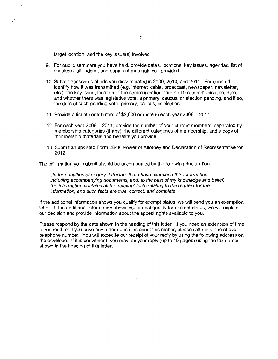target location, and the key issue(s) involved.

- 9. For public seminars you have held, provide dates, locations, key issues, agendas, list of speakers, attendees, and copies of materials you provided.
- 10. Submit transcripts of ads you disseminated in 2009, 2010, and 2011. For each ad, identify how it was transmitted (e.g. internet, cable, broadcast, newspaper, newsletter, etc.), the key issue, location of the communication, target of the communication, date, and whether there was legislative vote, a primary, caucus, or election pending, and if so, the date of such pending vote, primary, caucus, or election.
- 11. Provide a list of contributors of \$2,000 or more in each year 2009 2011.
- 12. For each year 2009 2011, provide the number of your current members, separated by membership categories (if any), the different categories of membership, and a copy of membership materials and benefits you provide.
- 13. Submit an updated Form 2848, Power of Attorney and Declaration of Representative for 2012.

The information you submit should be accompanied by the following declaration:

Under penalties of perjury, I declare that I have examined this information, including accompanying documents, and, to the best of my knowledge and belief, the information contains all the relevant facts relating to the request for the information, and such facts are true, correct, and complete.

If the additional information shows you qualify for exempt status, we will send you an exemption letter. If the additional information shows you do not qualify for exempt status, we will explain our decision and provide information about the appeal rights available to you.

Please respond by the date shown in the heading of this letter. If you need an extension of time to respond, or if you have any other questions about this matter, please call me at the above telephone number. You will expedite our receipt of your reply by using the following address on the envelope. If it is convenient, you may fax your reply (up to 10 pages) using the fax number shown in the heading of this letter.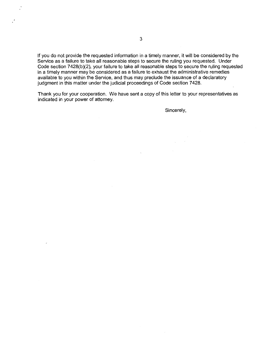If you do not provide the requested information in a timely manner, it will be considered by the Service as a failure to take all reasonable steps to secure the ruling you requested. Under Code section 7428(b)(2), your failure to take all reasonable steps to secure the ruling requested in a timely manner may be considered as a failure to exhaust the administrative remedies available to you within the Service, and thus may preclude the issuance of a declaratory judgment in this matter under the judicial proceedings of Code section 7428.

Thank you for your cooperation. We have sent a copy of this letter to your representatives as indicated in your power of attorney.

Sincerely,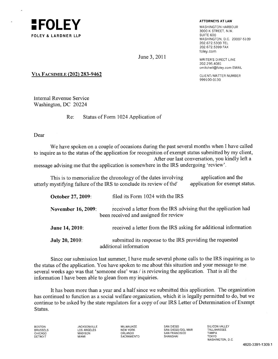

WASHINGTON HARBOUR 3000 K STREET, N.W. WASHINGTON, D.C. 20007-5109 202.672.5300 TEL 202.672.5399 FAX foley.corn

June 3, 2011 WRITER'S DIRECT LINE 202.295.4081 cmitchell@foley.comEMAIL

999100-0130

### **VIA FACSIMILE (202) 283-9462** CLIENT/MATTER NUMBER

Internal Revenue Service Washington, DC 20224

Re: Status of Form 1024 Application of

Dear

We have spoken on a couple of occasions during the past several months when I have called to inquire as to the status of the application for recognition of exempt status submitted by my client, After our last conversation, you kindly left a message advising me that the application is somewhere in the IRS undergoing 'review'.

This is to memorialize the chronology of the dates involving application and the utterly mystifying failure of the IRS to conclude its review of the application for exempt status.

| October 27, 2009:         | filed its Form 1024 with the IRS                                                                          |
|---------------------------|-----------------------------------------------------------------------------------------------------------|
| <b>November 16, 2009:</b> | received a letter from the IRS advising that the application had<br>been received and assigned for review |
| June 14, 2010:            | received a letter from the IRS asking for additional information                                          |
| <b>July 20, 2010:</b>     | submitted its response to the IRS providing the requested<br>additional information                       |

Since our submission last summer, I have made several phone calls to the IRS inquiring as to the status of the application. You have spoken to me about this situation and your message to me several weeks ago was that 'someone else' was / is reviewing the application. That is all the information I have been able to glean from my inquiries.

It has been more than a year and a half since we submitted this application. The organization has continued to function as a social welfare organization, which it is legally permitted to do, but we continue to be asked by the state regulators for a copy of our IRS Letter of Determination of Exempt Status.

BOSTON JACKSONVILLE MILWAUKEE SAN DIEGO SILICON VALLEY BRUSSELS LOS ANGELES NEW YORK SAN DIEGO/DEL MAR TALLAHASSEE CHICAGO MADISON ORLANDO SAN FRANCISCO TAMPA DETROIT MIAMI SACRAMENTO SHANGHAI TOKYO

WASHINGTON, D.C.